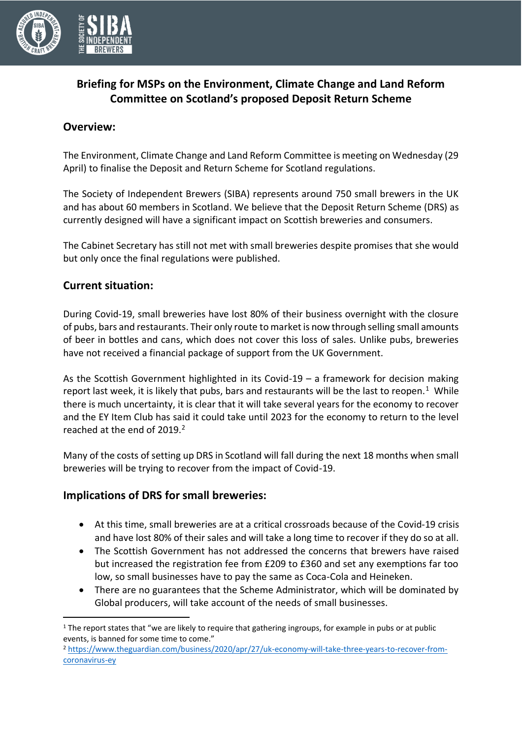

# **Briefing for MSPs on the Environment, Climate Change and Land Reform Committee on Scotland's proposed Deposit Return Scheme**

### **Overview:**

The Environment, Climate Change and Land Reform Committee is meeting on Wednesday (29 April) to finalise the Deposit and Return Scheme for Scotland regulations.

The Society of Independent Brewers (SIBA) represents around 750 small brewers in the UK and has about 60 members in Scotland. We believe that the Deposit Return Scheme (DRS) as currently designed will have a significant impact on Scottish breweries and consumers.

The Cabinet Secretary has still not met with small breweries despite promises that she would but only once the final regulations were published.

## **Current situation:**

During Covid-19, small breweries have lost 80% of their business overnight with the closure of pubs, bars and restaurants. Their only route to market is now through selling small amounts of beer in bottles and cans, which does not cover this loss of sales. Unlike pubs, breweries have not received a financial package of support from the UK Government.

As the Scottish Government highlighted in its Covid-19 – a framework for decision making report last week, it is likely that pubs, bars and restaurants will be the last to reopen.<sup>1</sup> While there is much uncertainty, it is clear that it will take several years for the economy to recover and the EY Item Club has said it could take until 2023 for the economy to return to the level reached at the end of  $2019<sup>2</sup>$ .

Many of the costs of setting up DRS in Scotland will fall during the next 18 months when small breweries will be trying to recover from the impact of Covid-19.

### **Implications of DRS for small breweries:**

- At this time, small breweries are at a critical crossroads because of the Covid-19 crisis and have lost 80% of their sales and will take a long time to recover if they do so at all.
- The Scottish Government has not addressed the concerns that brewers have raised but increased the registration fee from £209 to £360 and set any exemptions far too low, so small businesses have to pay the same as Coca-Cola and Heineken.
- There are no guarantees that the Scheme Administrator, which will be dominated by Global producers, will take account of the needs of small businesses.

<sup>&</sup>lt;sup>1</sup> The report states that "we are likely to require that gathering ingroups, for example in pubs or at public events, is banned for some time to come."

<sup>2</sup> [https://www.theguardian.com/business/2020/apr/27/uk-economy-will-take-three-years-to-recover-from](https://www.theguardian.com/business/2020/apr/27/uk-economy-will-take-three-years-to-recover-from-coronavirus-ey)[coronavirus-ey](https://www.theguardian.com/business/2020/apr/27/uk-economy-will-take-three-years-to-recover-from-coronavirus-ey)